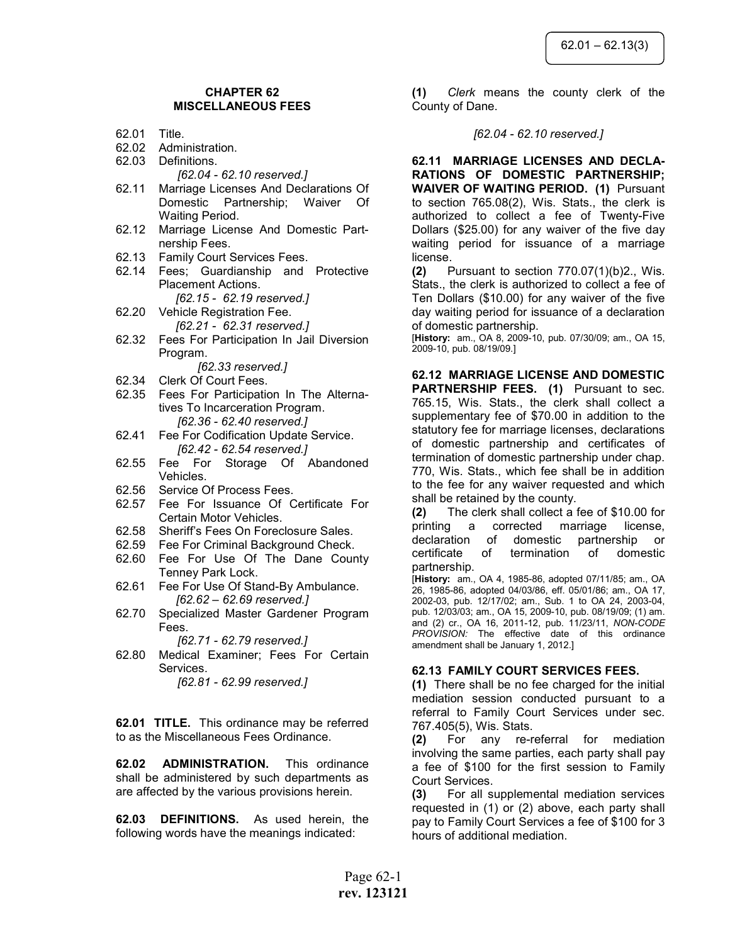## CHAPTER 62 MISCELLANEOUS FEES

- 62.01 Title.
- 62.02 Administration.
- 62.03 Definitions.
	- [62.04 62.10 reserved.]
- 62.11 Marriage Licenses And Declarations Of Domestic Partnership; Waiver Of Waiting Period.
- 62.12 Marriage License And Domestic Partnership Fees.
- 62.13 Family Court Services Fees.
- 62.14 Fees; Guardianship and Protective Placement Actions. [62.15 - 62.19 reserved.]
- 62.20 Vehicle Registration Fee. [62.21 - 62.31 reserved.]
- 62.32 Fees For Participation In Jail Diversion Program.

[62.33 reserved.]

- 62.34 Clerk Of Court Fees.
- 62.35 Fees For Participation In The Alternatives To Incarceration Program. [62.36 - 62.40 reserved.]
- 62.41 Fee For Codification Update Service. [62.42 - 62.54 reserved.]
- 62.55 Fee For Storage Of Abandoned Vehicles.
- 62.56 Service Of Process Fees.
- 62.57 Fee For Issuance Of Certificate For Certain Motor Vehicles.
- 62.58 Sheriff's Fees On Foreclosure Sales.
- 62.59 Fee For Criminal Background Check.
- 62.60 Fee For Use Of The Dane County Tenney Park Lock.
- 62.61 Fee For Use Of Stand-By Ambulance. [62.62 – 62.69 reserved.]
- 62.70 Specialized Master Gardener Program Fees.

[62.71 - 62.79 reserved.]

62.80 Medical Examiner; Fees For Certain Services.

[62.81 - 62.99 reserved.]

**62.01 TITLE.** This ordinance may be referred to as the Miscellaneous Fees Ordinance.

62.02 ADMINISTRATION. This ordinance shall be administered by such departments as are affected by the various provisions herein.

62.03 DEFINITIONS. As used herein, the following words have the meanings indicated:

(1) Clerk means the county clerk of the County of Dane.

#### [62.04 - 62.10 reserved.]

62.11 MARRIAGE LICENSES AND DECLA-RATIONS OF DOMESTIC PARTNERSHIP; WAIVER OF WAITING PERIOD. (1) Pursuant to section 765.08(2), Wis. Stats., the clerk is authorized to collect a fee of Twenty-Five Dollars (\$25.00) for any waiver of the five day waiting period for issuance of a marriage license.

(2) Pursuant to section  $770.07(1)(b)2$ ., Wis. Stats., the clerk is authorized to collect a fee of Ten Dollars (\$10.00) for any waiver of the five day waiting period for issuance of a declaration of domestic partnership.

[History: am., OA 8, 2009-10, pub. 07/30/09; am., OA 15, 2009-10, pub. 08/19/09.]

62.12 MARRIAGE LICENSE AND DOMESTIC PARTNERSHIP FEES. (1) Pursuant to sec. 765.15, Wis. Stats., the clerk shall collect a supplementary fee of \$70.00 in addition to the statutory fee for marriage licenses, declarations of domestic partnership and certificates of termination of domestic partnership under chap. 770, Wis. Stats., which fee shall be in addition to the fee for any waiver requested and which shall be retained by the county.

(2) The clerk shall collect a fee of \$10.00 for printing a corrected marriage license, declaration of domestic partnership or certificate of termination of domestic partnership.

[History: am., OA 4, 1985-86, adopted 07/11/85; am., OA 26, 1985-86, adopted 04/03/86, eff. 05/01/86; am., OA 17, 2002-03, pub. 12/17/02; am., Sub. 1 to OA 24, 2003-04, pub. 12/03/03; am., OA 15, 2009-10, pub. 08/19/09; (1) am. and (2) cr., OA 16, 2011-12, pub. 11/23/11, NON-CODE PROVISION: The effective date of this ordinance amendment shall be January 1, 2012.]

### 62.13 FAMILY COURT SERVICES FEES.

(1) There shall be no fee charged for the initial mediation session conducted pursuant to a referral to Family Court Services under sec. 767.405(5), Wis. Stats.

(2) For any re-referral for mediation involving the same parties, each party shall pay a fee of \$100 for the first session to Family Court Services.

(3) For all supplemental mediation services requested in (1) or (2) above, each party shall pay to Family Court Services a fee of \$100 for 3 hours of additional mediation.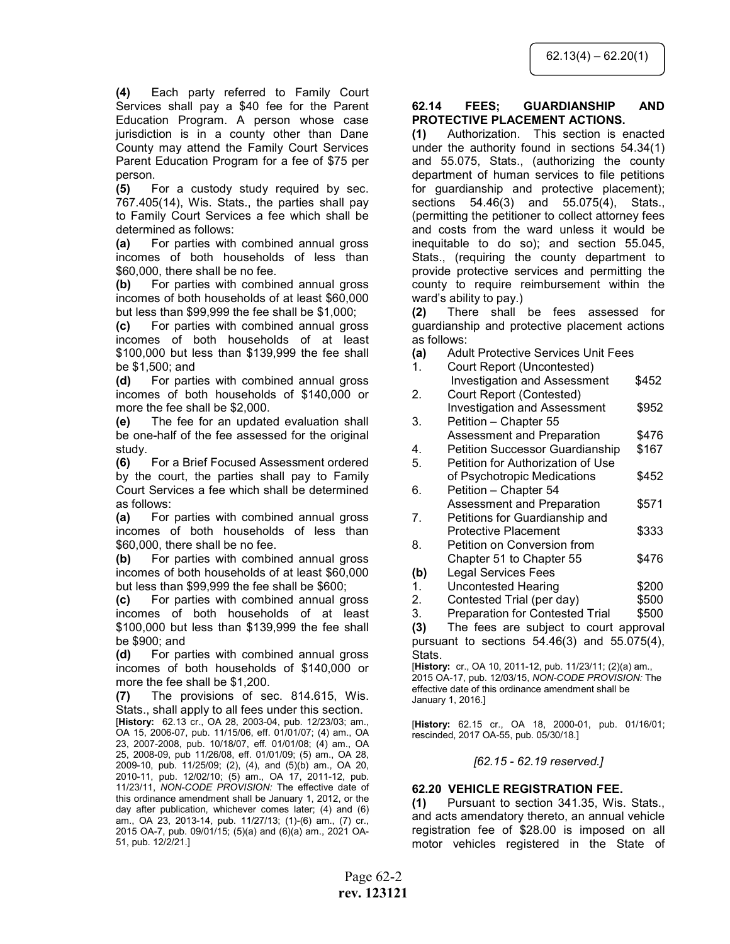(4) Each party referred to Family Court Services shall pay a \$40 fee for the Parent Education Program. A person whose case jurisdiction is in a county other than Dane County may attend the Family Court Services Parent Education Program for a fee of \$75 per person.

(5) For a custody study required by sec. 767.405(14), Wis. Stats., the parties shall pay to Family Court Services a fee which shall be determined as follows:

(a) For parties with combined annual gross incomes of both households of less than \$60,000, there shall be no fee.

(b) For parties with combined annual gross incomes of both households of at least \$60,000 but less than \$99,999 the fee shall be \$1,000;

(c) For parties with combined annual gross incomes of both households of at least \$100,000 but less than \$139,999 the fee shall be \$1,500; and

(d) For parties with combined annual gross incomes of both households of \$140,000 or more the fee shall be \$2,000.

(e) The fee for an updated evaluation shall be one-half of the fee assessed for the original study.

(6) For a Brief Focused Assessment ordered by the court, the parties shall pay to Family Court Services a fee which shall be determined as follows:

(a) For parties with combined annual gross incomes of both households of less than \$60,000, there shall be no fee.

(b) For parties with combined annual gross incomes of both households of at least \$60,000 but less than \$99,999 the fee shall be \$600;

(c) For parties with combined annual gross incomes of both households of at least \$100,000 but less than \$139,999 the fee shall be \$900; and

(d) For parties with combined annual gross incomes of both households of \$140,000 or more the fee shall be \$1,200.

(7) The provisions of sec. 814.615, Wis. Stats., shall apply to all fees under this section.

[History: 62.13 cr., OA 28, 2003-04, pub. 12/23/03; am., OA 15, 2006-07, pub. 11/15/06, eff. 01/01/07; (4) am., OA 23, 2007-2008, pub. 10/18/07, eff. 01/01/08; (4) am., OA 25, 2008-09, pub 11/26/08, eff. 01/01/09; (5) am., OA 28, 2009-10, pub. 11/25/09; (2), (4), and (5)(b) am., OA 20, 2010-11, pub. 12/02/10; (5) am., OA 17, 2011-12, pub. 11/23/11, NON-CODE PROVISION: The effective date of this ordinance amendment shall be January 1, 2012, or the day after publication, whichever comes later; (4) and (6) am., OA 23, 2013-14, pub. 11/27/13; (1)-(6) am., (7) cr., 2015 OA-7, pub. 09/01/15; (5)(a) and (6)(a) am., 2021 OA-51, pub. 12/2/21.]

#### 62.14 FEES; GUARDIANSHIP AND PROTECTIVE PLACEMENT ACTIONS.

(1) Authorization. This section is enacted under the authority found in sections 54.34(1) and 55.075, Stats., (authorizing the county department of human services to file petitions for guardianship and protective placement); sections 54.46(3) and 55.075(4), Stats., (permitting the petitioner to collect attorney fees and costs from the ward unless it would be inequitable to do so); and section 55.045, Stats., (requiring the county department to provide protective services and permitting the county to require reimbursement within the ward's ability to pay.)

(2) There shall be fees assessed for guardianship and protective placement actions as follows:

- (a) Adult Protective Services Unit Fees
- 1. Court Report (Uncontested) Investigation and Assessment \$452 2. Court Report (Contested) Investigation and Assessment \$952 3. Petition – Chapter 55 Assessment and Preparation \$476 4. Petition Successor Guardianship \$167 5. Petition for Authorization of Use of Psychotropic Medications \$452 6. Petition – Chapter 54 Assessment and Preparation \$571 7. Petitions for Guardianship and Protective Placement \$333 8. Petition on Conversion from
- Chapter 51 to Chapter 55 \$476
- (b) Legal Services Fees
- 1. Uncontested Hearing **\$200**
- 2. Contested Trial (per day) \$500
- 3. Preparation for Contested Trial \$500

(3) The fees are subject to court approval pursuant to sections 54.46(3) and 55.075(4), Stats.

[History: cr., OA 10, 2011-12, pub. 11/23/11; (2)(a) am., 2015 OA-17, pub. 12/03/15, NON-CODE PROVISION: The effective date of this ordinance amendment shall be January 1, 2016.]

[History: 62.15 cr., OA 18, 2000-01, pub. 01/16/01; rescinded, 2017 OA-55, pub. 05/30/18.]

### [62.15 - 62.19 reserved.]

# 62.20 VEHICLE REGISTRATION FEE.

(1) Pursuant to section 341.35, Wis. Stats., and acts amendatory thereto, an annual vehicle registration fee of \$28.00 is imposed on all motor vehicles registered in the State of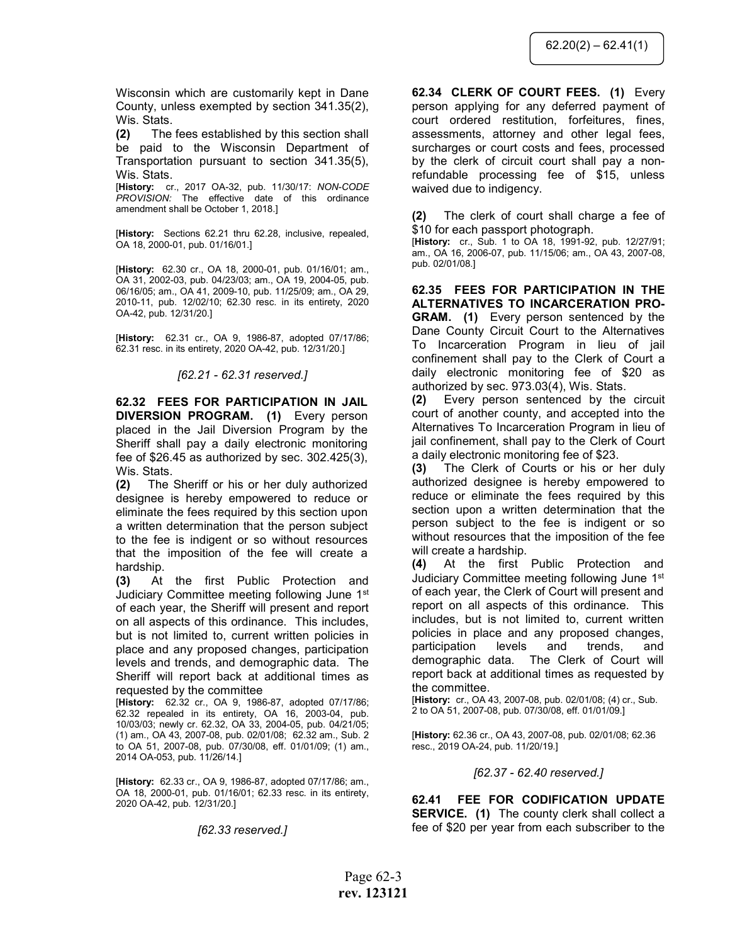Wisconsin which are customarily kept in Dane County, unless exempted by section 341.35(2), Wis. Stats.

(2) The fees established by this section shall be paid to the Wisconsin Department of Transportation pursuant to section 341.35(5), Wis. Stats.

[History: cr., 2017 OA-32, pub. 11/30/17: NON-CODE PROVISION: The effective date of this ordinance amendment shall be October 1, 2018.]

[History: Sections 62.21 thru 62.28, inclusive, repealed, OA 18, 2000-01, pub. 01/16/01.]

[History: 62.30 cr., OA 18, 2000-01, pub. 01/16/01; am., OA 31, 2002-03, pub. 04/23/03; am., OA 19, 2004-05, pub. 06/16/05; am., OA 41, 2009-10, pub. 11/25/09; am., OA 29, 2010-11, pub. 12/02/10; 62.30 resc. in its entirety, 2020 OA-42, pub. 12/31/20.]

[History: 62.31 cr., OA 9, 1986-87, adopted 07/17/86; 62.31 resc. in its entirety, 2020 OA-42, pub. 12/31/20.]

[62.21 - 62.31 reserved.]

62.32 FEES FOR PARTICIPATION IN JAIL DIVERSION PROGRAM. (1) Every person placed in the Jail Diversion Program by the Sheriff shall pay a daily electronic monitoring fee of \$26.45 as authorized by sec. 302.425(3), Wis. Stats.

(2) The Sheriff or his or her duly authorized designee is hereby empowered to reduce or eliminate the fees required by this section upon a written determination that the person subject to the fee is indigent or so without resources that the imposition of the fee will create a hardship.

(3) At the first Public Protection and Judiciary Committee meeting following June 1st of each year, the Sheriff will present and report on all aspects of this ordinance. This includes, but is not limited to, current written policies in place and any proposed changes, participation levels and trends, and demographic data. The Sheriff will report back at additional times as requested by the committee

[History: 62.32 cr., OA 9, 1986-87, adopted 07/17/86; 62.32 repealed in its entirety, OA 16, 2003-04, pub. 10/03/03; newly cr. 62.32, OA 33, 2004-05, pub. 04/21/05; (1) am., OA 43, 2007-08, pub. 02/01/08; 62.32 am., Sub. 2 to OA 51, 2007-08, pub. 07/30/08, eff. 01/01/09; (1) am., 2014 OA-053, pub. 11/26/14.]

[History: 62.33 cr., OA 9, 1986-87, adopted 07/17/86; am., OA 18, 2000-01, pub. 01/16/01; 62.33 resc. in its entirety, 2020 OA-42, pub. 12/31/20.]

[62.33 reserved.]

62.34 CLERK OF COURT FEES. (1) Every person applying for any deferred payment of court ordered restitution, forfeitures, fines, assessments, attorney and other legal fees, surcharges or court costs and fees, processed by the clerk of circuit court shall pay a nonrefundable processing fee of \$15, unless waived due to indigency.

(2) The clerk of court shall charge a fee of \$10 for each passport photograph.

[History: cr., Sub. 1 to OA 18, 1991-92, pub. 12/27/91; am., OA 16, 2006-07, pub. 11/15/06; am., OA 43, 2007-08, pub. 02/01/08.]

62.35 FEES FOR PARTICIPATION IN THE ALTERNATIVES TO INCARCERATION PRO-GRAM. (1) Every person sentenced by the Dane County Circuit Court to the Alternatives To Incarceration Program in lieu of jail confinement shall pay to the Clerk of Court a daily electronic monitoring fee of \$20 as authorized by sec. 973.03(4), Wis. Stats.

(2) Every person sentenced by the circuit court of another county, and accepted into the Alternatives To Incarceration Program in lieu of jail confinement, shall pay to the Clerk of Court a daily electronic monitoring fee of \$23.

(3) The Clerk of Courts or his or her duly authorized designee is hereby empowered to reduce or eliminate the fees required by this section upon a written determination that the person subject to the fee is indigent or so without resources that the imposition of the fee will create a hardship.

(4) At the first Public Protection and Judiciary Committee meeting following June 1st of each year, the Clerk of Court will present and report on all aspects of this ordinance. This includes, but is not limited to, current written policies in place and any proposed changes, participation levels and trends, and demographic data. The Clerk of Court will report back at additional times as requested by the committee.

[History: cr., OA 43, 2007-08, pub. 02/01/08; (4) cr., Sub. 2 to OA 51, 2007-08, pub. 07/30/08, eff. 01/01/09.]

[History: 62.36 cr., OA 43, 2007-08, pub. 02/01/08; 62.36 resc., 2019 OA-24, pub. 11/20/19.]

### [62.37 - 62.40 reserved.]

62.41 FEE FOR CODIFICATION UPDATE **SERVICE.** (1) The county clerk shall collect a fee of \$20 per year from each subscriber to the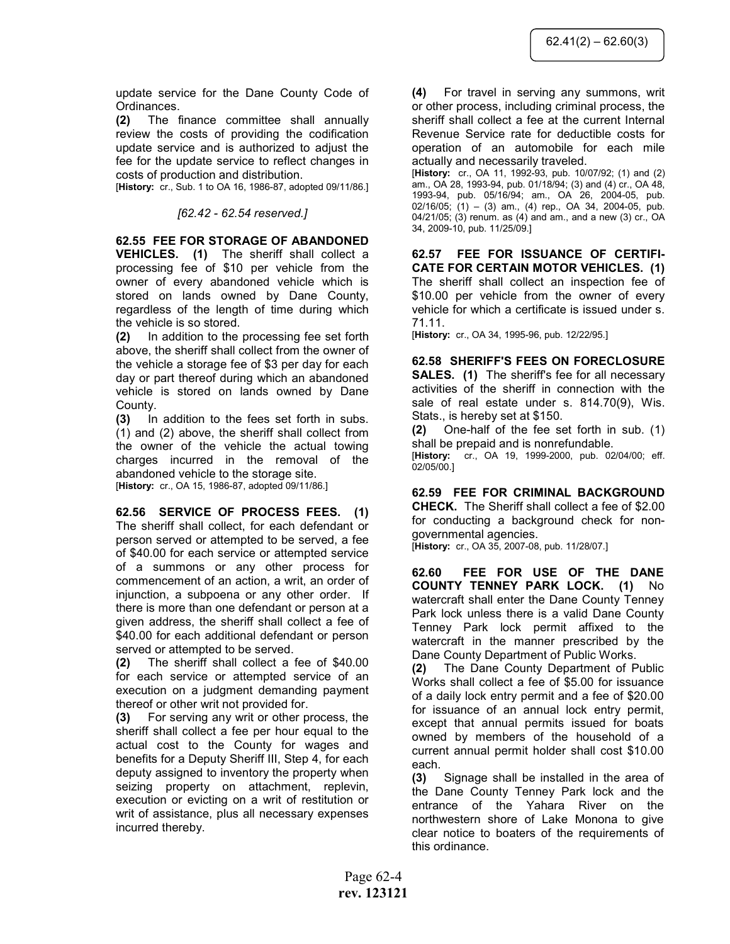update service for the Dane County Code of Ordinances.

(2) The finance committee shall annually review the costs of providing the codification update service and is authorized to adjust the fee for the update service to reflect changes in costs of production and distribution.

[History: cr., Sub. 1 to OA 16, 1986-87, adopted 09/11/86.]

### [62.42 - 62.54 reserved.]

62.55 FEE FOR STORAGE OF ABANDONED VEHICLES. (1) The sheriff shall collect a processing fee of \$10 per vehicle from the owner of every abandoned vehicle which is stored on lands owned by Dane County, regardless of the length of time during which the vehicle is so stored.

(2) In addition to the processing fee set forth above, the sheriff shall collect from the owner of the vehicle a storage fee of \$3 per day for each day or part thereof during which an abandoned vehicle is stored on lands owned by Dane County.

(3) In addition to the fees set forth in subs. (1) and (2) above, the sheriff shall collect from the owner of the vehicle the actual towing charges incurred in the removal of the abandoned vehicle to the storage site. [History: cr., OA 15, 1986-87, adopted 09/11/86.]

62.56 SERVICE OF PROCESS FEES. (1) The sheriff shall collect, for each defendant or person served or attempted to be served, a fee of \$40.00 for each service or attempted service of a summons or any other process for commencement of an action, a writ, an order of injunction, a subpoena or any other order. If there is more than one defendant or person at a given address, the sheriff shall collect a fee of \$40.00 for each additional defendant or person served or attempted to be served.

(2) The sheriff shall collect a fee of \$40.00 for each service or attempted service of an execution on a judgment demanding payment thereof or other writ not provided for.

(3) For serving any writ or other process, the sheriff shall collect a fee per hour equal to the actual cost to the County for wages and benefits for a Deputy Sheriff III, Step 4, for each deputy assigned to inventory the property when seizing property on attachment, replevin, execution or evicting on a writ of restitution or writ of assistance, plus all necessary expenses incurred thereby.

(4) For travel in serving any summons, writ or other process, including criminal process, the sheriff shall collect a fee at the current Internal Revenue Service rate for deductible costs for operation of an automobile for each mile actually and necessarily traveled.

[History: cr., OA 11, 1992-93, pub. 10/07/92; (1) and (2) am., OA 28, 1993-94, pub. 01/18/94; (3) and (4) cr., OA 48, 1993-94, pub. 05/16/94; am., OA 26, 2004-05, pub. 02/16/05; (1) – (3) am., (4) rep., OA 34, 2004-05, pub. 04/21/05; (3) renum. as (4) and am., and a new (3) cr., OA 34, 2009-10, pub. 11/25/09.]

62.57 FEE FOR ISSUANCE OF CERTIFI-CATE FOR CERTAIN MOTOR VEHICLES. (1) The sheriff shall collect an inspection fee of \$10.00 per vehicle from the owner of every vehicle for which a certificate is issued under s. 71.11.

[History: cr., OA 34, 1995-96, pub. 12/22/95.]

62.58 SHERIFF'S FEES ON FORECLOSURE SALES. (1) The sheriff's fee for all necessary activities of the sheriff in connection with the sale of real estate under s. 814.70(9), Wis. Stats., is hereby set at \$150.

(2) One-half of the fee set forth in sub. (1) shall be prepaid and is nonrefundable.

[History: cr., OA 19, 1999-2000, pub. 02/04/00; eff. 02/05/00.]

62.59 FEE FOR CRIMINAL BACKGROUND CHECK. The Sheriff shall collect a fee of \$2.00 for conducting a background check for nongovernmental agencies. [History: cr., OA 35, 2007-08, pub. 11/28/07.]

62.60 FEE FOR USE OF THE DANE

COUNTY TENNEY PARK LOCK. (1) No watercraft shall enter the Dane County Tenney Park lock unless there is a valid Dane County Tenney Park lock permit affixed to the watercraft in the manner prescribed by the Dane County Department of Public Works.

(2) The Dane County Department of Public Works shall collect a fee of \$5.00 for issuance of a daily lock entry permit and a fee of \$20.00 for issuance of an annual lock entry permit, except that annual permits issued for boats owned by members of the household of a current annual permit holder shall cost \$10.00 each.

(3) Signage shall be installed in the area of the Dane County Tenney Park lock and the entrance of the Yahara River on the northwestern shore of Lake Monona to give clear notice to boaters of the requirements of this ordinance.